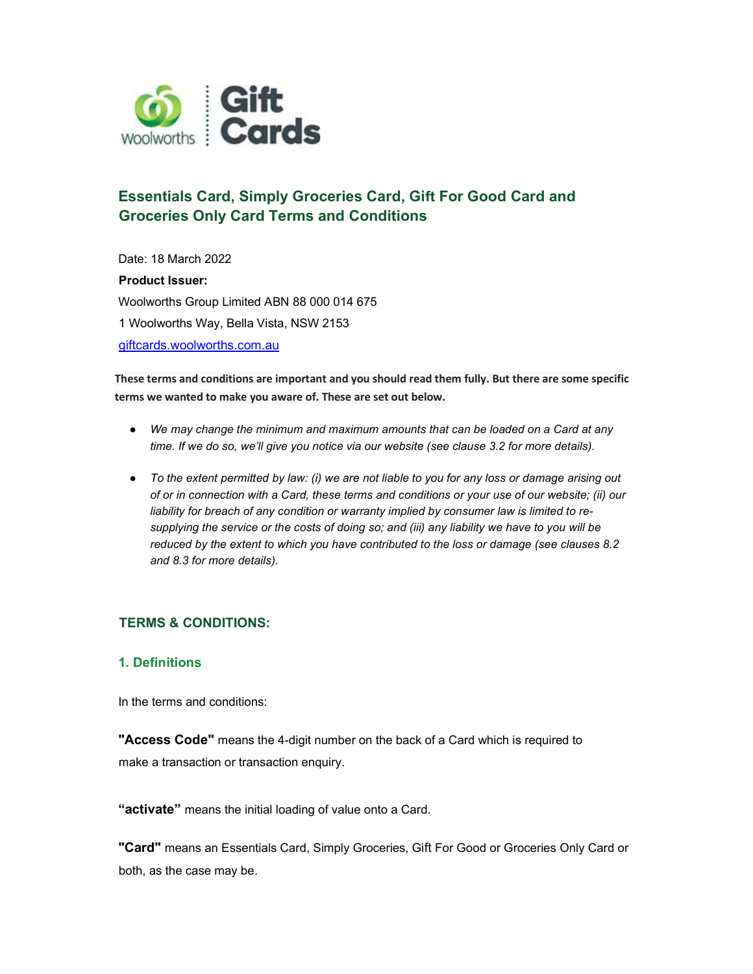

# Essentials Card, Simply Groceries Card, Gift For Good Card and Groceries Only Card Terms and Conditions

Date: 18 March 2022 Product Issuer: Woolworths Group Limited ABN 88 000 014 675 1 Woolworths Way, Bella Vista, NSW 2153

giftcards.woolworths.com.au

These terms and conditions are important and you should read them fully. But there are some specific terms we wanted to make you aware of. These are set out below.

- We may change the minimum and maximum amounts that can be loaded on a Card at any time. If we do so, we'll give you notice via our website (see clause 3.2 for more details).
- To the extent permitted by law: (i) we are not liable to you for any loss or damage arising out of or in connection with a Card, these terms and conditions or your use of our website; (ii) our liability for breach of any condition or warranty implied by consumer law is limited to resupplying the service or the costs of doing so; and (iii) any liability we have to you will be reduced by the extent to which you have contributed to the loss or damage (see clauses 8.2 and 8.3 for more details).

# TERMS & CONDITIONS:

# 1. Definitions

In the terms and conditions:

"Access Code" means the 4-digit number on the back of a Card which is required to make a transaction or transaction enquiry.

"activate" means the initial loading of value onto a Card.

"Card" means an Essentials Card, Simply Groceries, Gift For Good or Groceries Only Card or both, as the case may be.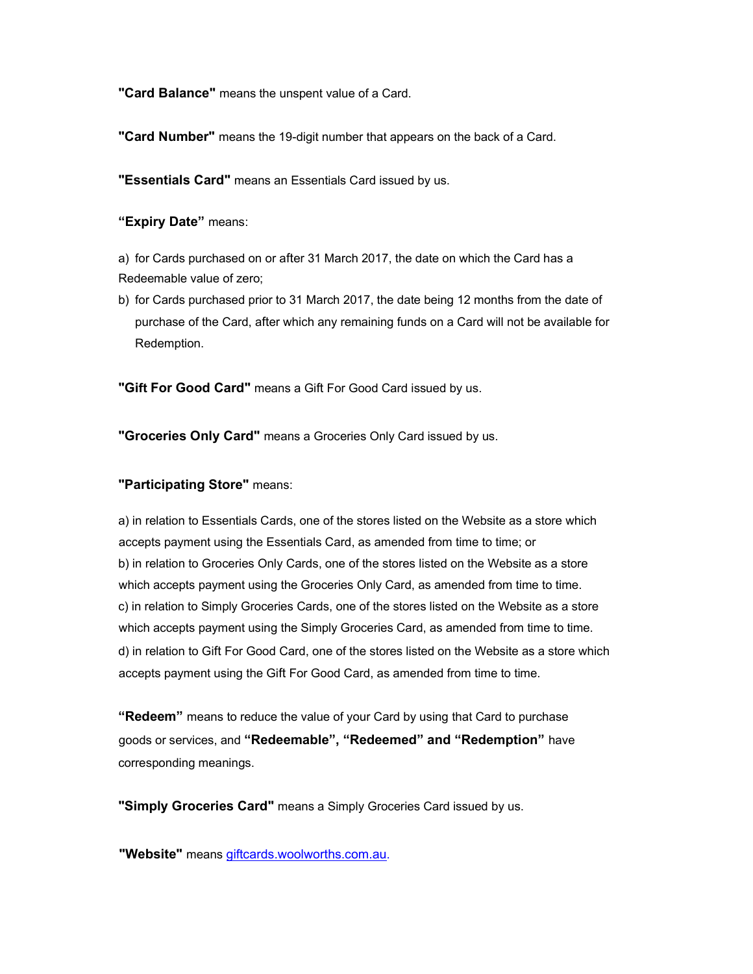"Card Balance" means the unspent value of a Card.

"Card Number" means the 19-digit number that appears on the back of a Card.

"Essentials Card" means an Essentials Card issued by us.

"Expiry Date" means:

a) for Cards purchased on or after 31 March 2017, the date on which the Card has a Redeemable value of zero;

b) for Cards purchased prior to 31 March 2017, the date being 12 months from the date of purchase of the Card, after which any remaining funds on a Card will not be available for Redemption.

"Gift For Good Card" means a Gift For Good Card issued by us.

"Groceries Only Card" means a Groceries Only Card issued by us.

# "Participating Store" means:

a) in relation to Essentials Cards, one of the stores listed on the Website as a store which accepts payment using the Essentials Card, as amended from time to time; or b) in relation to Groceries Only Cards, one of the stores listed on the Website as a store which accepts payment using the Groceries Only Card, as amended from time to time. c) in relation to Simply Groceries Cards, one of the stores listed on the Website as a store which accepts payment using the Simply Groceries Card, as amended from time to time. d) in relation to Gift For Good Card, one of the stores listed on the Website as a store which accepts payment using the Gift For Good Card, as amended from time to time.

"Redeem" means to reduce the value of your Card by using that Card to purchase goods or services, and "Redeemable", "Redeemed" and "Redemption" have corresponding meanings.

"Simply Groceries Card" means a Simply Groceries Card issued by us.

"Website" means giftcards.woolworths.com.au.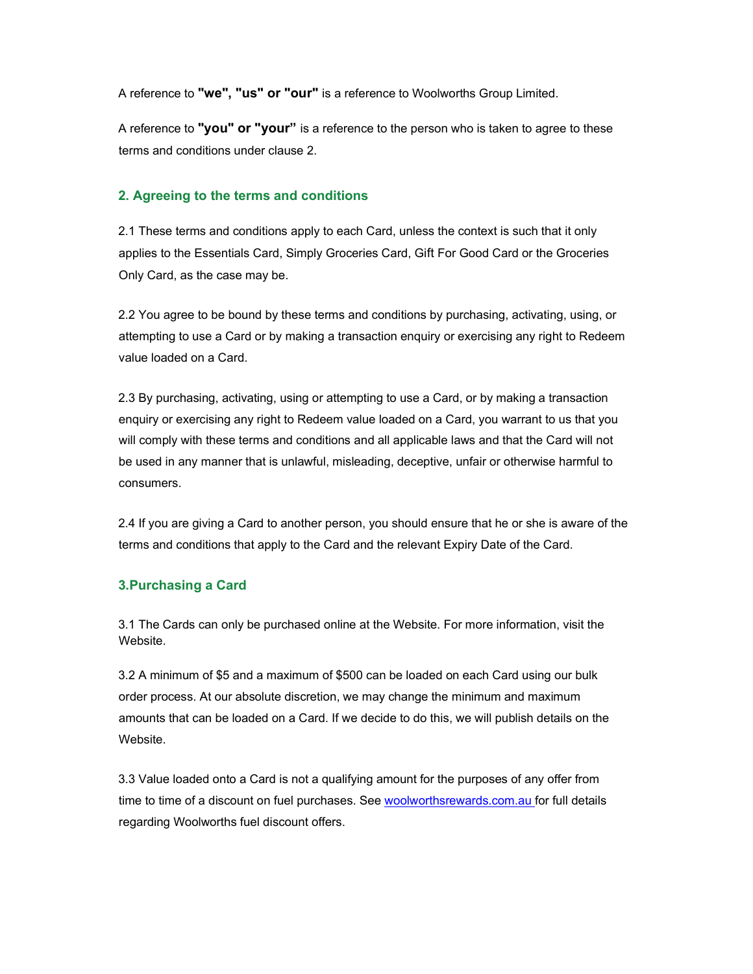A reference to "we", "us" or "our" is a reference to Woolworths Group Limited.

A reference to "you" or "your" is a reference to the person who is taken to agree to these terms and conditions under clause 2.

# 2. Agreeing to the terms and conditions

2.1 These terms and conditions apply to each Card, unless the context is such that it only applies to the Essentials Card, Simply Groceries Card, Gift For Good Card or the Groceries Only Card, as the case may be.

2.2 You agree to be bound by these terms and conditions by purchasing, activating, using, or attempting to use a Card or by making a transaction enquiry or exercising any right to Redeem value loaded on a Card.

2.3 By purchasing, activating, using or attempting to use a Card, or by making a transaction enquiry or exercising any right to Redeem value loaded on a Card, you warrant to us that you will comply with these terms and conditions and all applicable laws and that the Card will not be used in any manner that is unlawful, misleading, deceptive, unfair or otherwise harmful to consumers.

2.4 If you are giving a Card to another person, you should ensure that he or she is aware of the terms and conditions that apply to the Card and the relevant Expiry Date of the Card.

# 3.Purchasing a Card

3.1 The Cards can only be purchased online at the Website. For more information, visit the Website.

3.2 A minimum of \$5 and a maximum of \$500 can be loaded on each Card using our bulk order process. At our absolute discretion, we may change the minimum and maximum amounts that can be loaded on a Card. If we decide to do this, we will publish details on the Website.

3.3 Value loaded onto a Card is not a qualifying amount for the purposes of any offer from time to time of a discount on fuel purchases. See woolworthsrewards.com.au for full details regarding Woolworths fuel discount offers.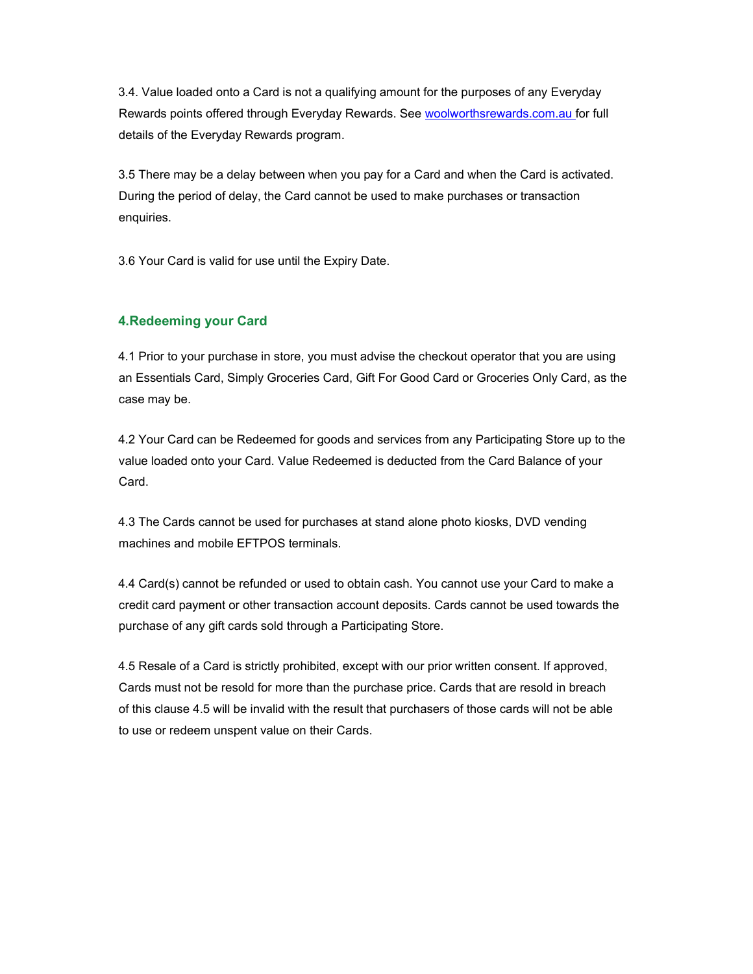3.4. Value loaded onto a Card is not a qualifying amount for the purposes of any Everyday Rewards points offered through Everyday Rewards. See woolworthsrewards.com.au for full details of the Everyday Rewards program.

3.5 There may be a delay between when you pay for a Card and when the Card is activated. During the period of delay, the Card cannot be used to make purchases or transaction enquiries.

3.6 Your Card is valid for use until the Expiry Date.

# 4.Redeeming your Card

4.1 Prior to your purchase in store, you must advise the checkout operator that you are using an Essentials Card, Simply Groceries Card, Gift For Good Card or Groceries Only Card, as the case may be.

4.2 Your Card can be Redeemed for goods and services from any Participating Store up to the value loaded onto your Card. Value Redeemed is deducted from the Card Balance of your Card.

4.3 The Cards cannot be used for purchases at stand alone photo kiosks, DVD vending machines and mobile EFTPOS terminals.

4.4 Card(s) cannot be refunded or used to obtain cash. You cannot use your Card to make a credit card payment or other transaction account deposits. Cards cannot be used towards the purchase of any gift cards sold through a Participating Store.

4.5 Resale of a Card is strictly prohibited, except with our prior written consent. If approved, Cards must not be resold for more than the purchase price. Cards that are resold in breach of this clause 4.5 will be invalid with the result that purchasers of those cards will not be able to use or redeem unspent value on their Cards.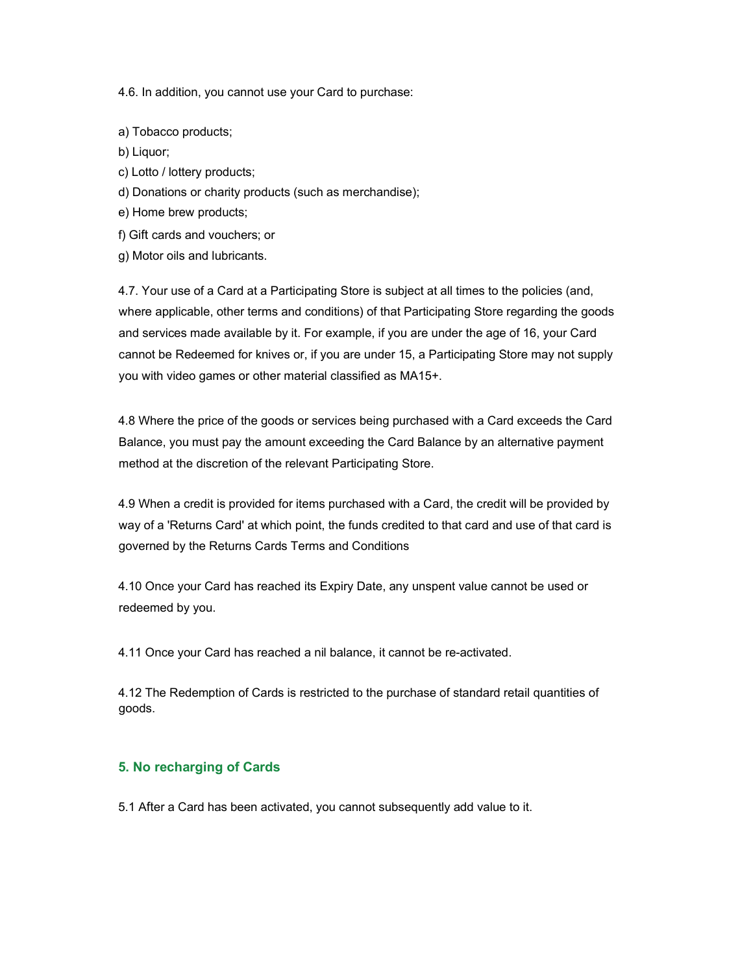4.6. In addition, you cannot use your Card to purchase:

- a) Tobacco products;
- b) Liquor;
- c) Lotto / lottery products;
- d) Donations or charity products (such as merchandise);
- e) Home brew products;
- f) Gift cards and vouchers; or
- g) Motor oils and lubricants.

4.7. Your use of a Card at a Participating Store is subject at all times to the policies (and, where applicable, other terms and conditions) of that Participating Store regarding the goods and services made available by it. For example, if you are under the age of 16, your Card cannot be Redeemed for knives or, if you are under 15, a Participating Store may not supply you with video games or other material classified as MA15+.

4.8 Where the price of the goods or services being purchased with a Card exceeds the Card Balance, you must pay the amount exceeding the Card Balance by an alternative payment method at the discretion of the relevant Participating Store.

4.9 When a credit is provided for items purchased with a Card, the credit will be provided by way of a 'Returns Card' at which point, the funds credited to that card and use of that card is governed by the Returns Cards Terms and Conditions

4.10 Once your Card has reached its Expiry Date, any unspent value cannot be used or redeemed by you.

4.11 Once your Card has reached a nil balance, it cannot be re-activated.

4.12 The Redemption of Cards is restricted to the purchase of standard retail quantities of goods.

#### 5. No recharging of Cards

5.1 After a Card has been activated, you cannot subsequently add value to it.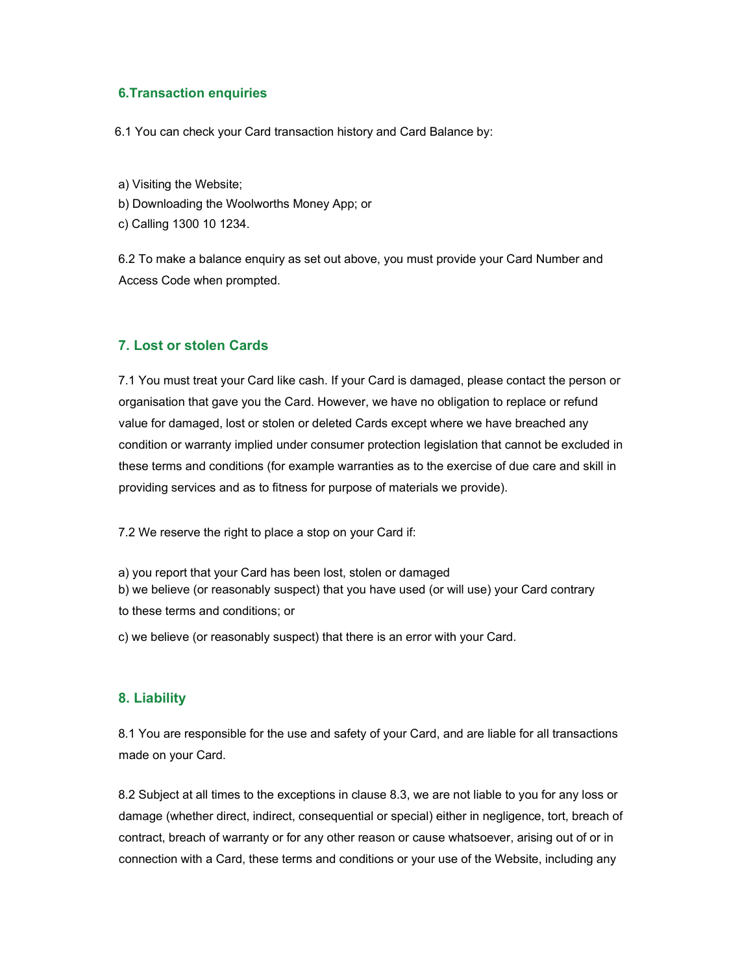## 6.Transaction enquiries

6.1 You can check your Card transaction history and Card Balance by:

a) Visiting the Website;

b) Downloading the Woolworths Money App; or

c) Calling 1300 10 1234.

6.2 To make a balance enquiry as set out above, you must provide your Card Number and Access Code when prompted.

# 7. Lost or stolen Cards

7.1 You must treat your Card like cash. If your Card is damaged, please contact the person or organisation that gave you the Card. However, we have no obligation to replace or refund value for damaged, lost or stolen or deleted Cards except where we have breached any condition or warranty implied under consumer protection legislation that cannot be excluded in these terms and conditions (for example warranties as to the exercise of due care and skill in providing services and as to fitness for purpose of materials we provide).

7.2 We reserve the right to place a stop on your Card if:

a) you report that your Card has been lost, stolen or damaged

b) we believe (or reasonably suspect) that you have used (or will use) your Card contrary

to these terms and conditions; or

c) we believe (or reasonably suspect) that there is an error with your Card.

#### 8. Liability

8.1 You are responsible for the use and safety of your Card, and are liable for all transactions made on your Card.

8.2 Subject at all times to the exceptions in clause 8.3, we are not liable to you for any loss or damage (whether direct, indirect, consequential or special) either in negligence, tort, breach of contract, breach of warranty or for any other reason or cause whatsoever, arising out of or in connection with a Card, these terms and conditions or your use of the Website, including any